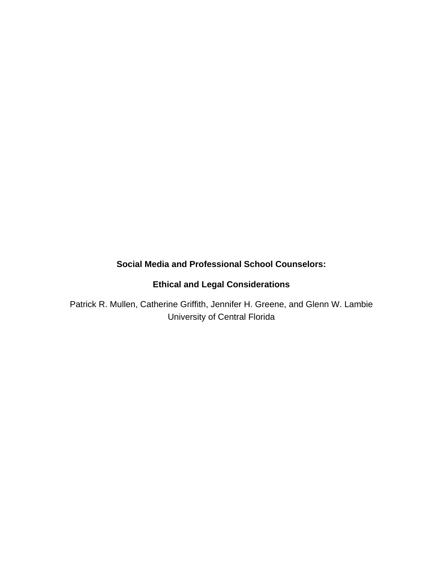# **Social Media and Professional School Counselors:**

# **Ethical and Legal Considerations**

Patrick R. Mullen, Catherine Griffith, Jennifer H. Greene, and Glenn W. Lambie University of Central Florida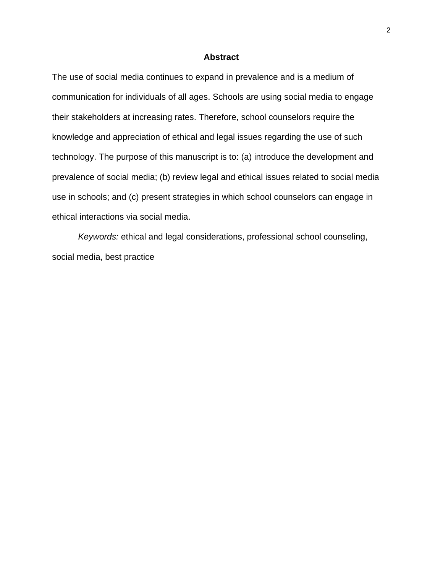# **Abstract**

The use of social media continues to expand in prevalence and is a medium of communication for individuals of all ages. Schools are using social media to engage their stakeholders at increasing rates. Therefore, school counselors require the knowledge and appreciation of ethical and legal issues regarding the use of such technology. The purpose of this manuscript is to: (a) introduce the development and prevalence of social media; (b) review legal and ethical issues related to social media use in schools; and (c) present strategies in which school counselors can engage in ethical interactions via social media.

*Keywords:* ethical and legal considerations, professional school counseling, social media, best practice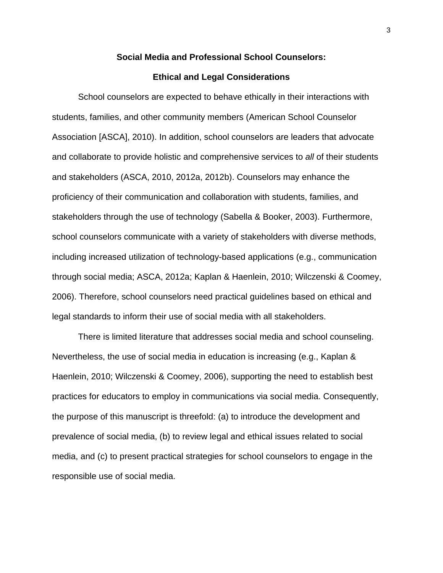#### **Social Media and Professional School Counselors:**

# **Ethical and Legal Considerations**

School counselors are expected to behave ethically in their interactions with students, families, and other community members (American School Counselor Association [ASCA], 2010). In addition, school counselors are leaders that advocate and collaborate to provide holistic and comprehensive services to *all* of their students and stakeholders (ASCA, 2010, 2012a, 2012b). Counselors may enhance the proficiency of their communication and collaboration with students, families, and stakeholders through the use of technology (Sabella & Booker, 2003). Furthermore, school counselors communicate with a variety of stakeholders with diverse methods, including increased utilization of technology-based applications (e.g., communication through social media; ASCA, 2012a; Kaplan & Haenlein, 2010; Wilczenski & Coomey, 2006). Therefore, school counselors need practical guidelines based on ethical and legal standards to inform their use of social media with all stakeholders.

There is limited literature that addresses social media and school counseling. Nevertheless, the use of social media in education is increasing (e.g., Kaplan & Haenlein, 2010; Wilczenski & Coomey, 2006), supporting the need to establish best practices for educators to employ in communications via social media. Consequently, the purpose of this manuscript is threefold: (a) to introduce the development and prevalence of social media, (b) to review legal and ethical issues related to social media, and (c) to present practical strategies for school counselors to engage in the responsible use of social media.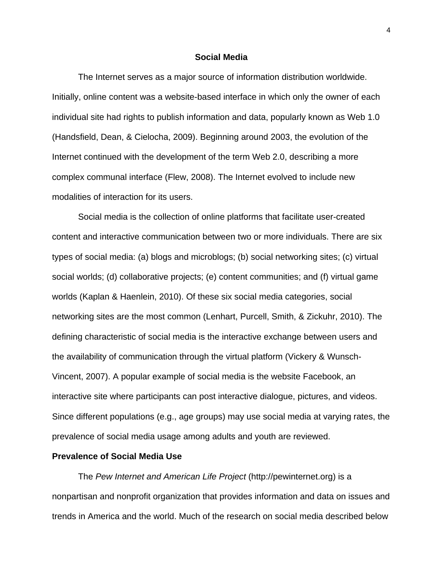# **Social Media**

The Internet serves as a major source of information distribution worldwide. Initially, online content was a website-based interface in which only the owner of each individual site had rights to publish information and data, popularly known as Web 1.0 (Handsfield, Dean, & Cielocha, 2009). Beginning around 2003, the evolution of the Internet continued with the development of the term Web 2.0, describing a more complex communal interface (Flew, 2008). The Internet evolved to include new modalities of interaction for its users.

Social media is the collection of online platforms that facilitate user-created content and interactive communication between two or more individuals. There are six types of social media: (a) blogs and microblogs; (b) social networking sites; (c) virtual social worlds; (d) collaborative projects; (e) content communities; and (f) virtual game worlds (Kaplan & Haenlein, 2010). Of these six social media categories, social networking sites are the most common (Lenhart, Purcell, Smith, & Zickuhr, 2010). The defining characteristic of social media is the interactive exchange between users and the availability of communication through the virtual platform (Vickery & Wunsch-Vincent, 2007). A popular example of social media is the website Facebook, an interactive site where participants can post interactive dialogue, pictures, and videos. Since different populations (e.g., age groups) may use social media at varying rates, the prevalence of social media usage among adults and youth are reviewed.

#### **Prevalence of Social Media Use**

The *Pew Internet and American Life Project* (http://pewinternet.org) is a nonpartisan and nonprofit organization that provides information and data on issues and trends in America and the world. Much of the research on social media described below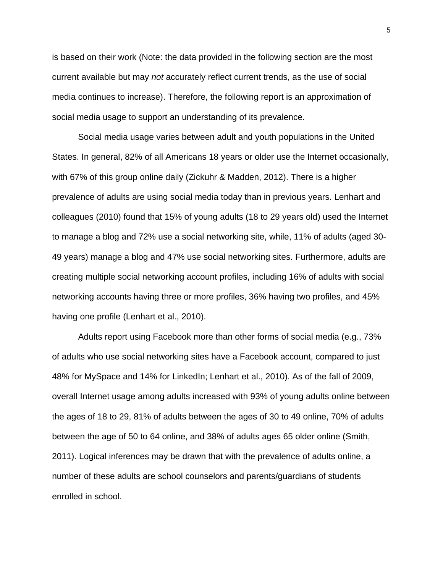is based on their work (Note: the data provided in the following section are the most current available but may *not* accurately reflect current trends, as the use of social media continues to increase). Therefore, the following report is an approximation of social media usage to support an understanding of its prevalence.

Social media usage varies between adult and youth populations in the United States. In general, 82% of all Americans 18 years or older use the Internet occasionally, with 67% of this group online daily (Zickuhr & Madden, 2012). There is a higher prevalence of adults are using social media today than in previous years. Lenhart and colleagues (2010) found that 15% of young adults (18 to 29 years old) used the Internet to manage a blog and 72% use a social networking site, while, 11% of adults (aged 30- 49 years) manage a blog and 47% use social networking sites. Furthermore, adults are creating multiple social networking account profiles, including 16% of adults with social networking accounts having three or more profiles, 36% having two profiles, and 45% having one profile (Lenhart et al., 2010).

Adults report using Facebook more than other forms of social media (e.g., 73% of adults who use social networking sites have a Facebook account, compared to just 48% for MySpace and 14% for LinkedIn; Lenhart et al., 2010). As of the fall of 2009, overall Internet usage among adults increased with 93% of young adults online between the ages of 18 to 29, 81% of adults between the ages of 30 to 49 online, 70% of adults between the age of 50 to 64 online, and 38% of adults ages 65 older online (Smith, 2011). Logical inferences may be drawn that with the prevalence of adults online, a number of these adults are school counselors and parents/guardians of students enrolled in school.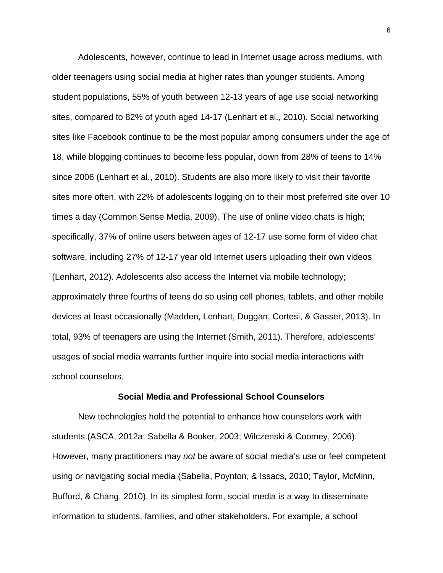Adolescents, however, continue to lead in Internet usage across mediums, with older teenagers using social media at higher rates than younger students. Among student populations, 55% of youth between 12-13 years of age use social networking sites, compared to 82% of youth aged 14-17 (Lenhart et al., 2010). Social networking sites like Facebook continue to be the most popular among consumers under the age of 18, while blogging continues to become less popular, down from 28% of teens to 14% since 2006 (Lenhart et al., 2010). Students are also more likely to visit their favorite sites more often, with 22% of adolescents logging on to their most preferred site over 10 times a day (Common Sense Media, 2009). The use of online video chats is high; specifically, 37% of online users between ages of 12-17 use some form of video chat software, including 27% of 12-17 year old Internet users uploading their own videos (Lenhart, 2012). Adolescents also access the Internet via mobile technology; approximately three fourths of teens do so using cell phones, tablets, and other mobile devices at least occasionally (Madden, Lenhart, Duggan, Cortesi, & Gasser, 2013). In total, 93% of teenagers are using the Internet (Smith, 2011). Therefore, adolescents' usages of social media warrants further inquire into social media interactions with school counselors.

#### **Social Media and Professional School Counselors**

New technologies hold the potential to enhance how counselors work with students (ASCA, 2012a; Sabella & Booker, 2003; Wilczenski & Coomey, 2006). However, many practitioners may *not* be aware of social media's use or feel competent using or navigating social media (Sabella, Poynton, & Issacs, 2010; Taylor, McMinn, Bufford, & Chang, 2010). In its simplest form, social media is a way to disseminate information to students, families, and other stakeholders. For example, a school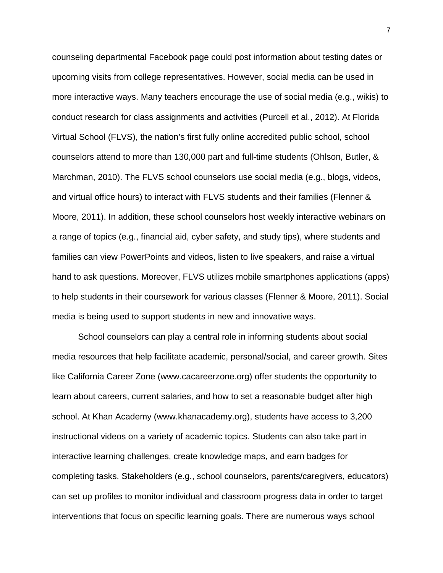counseling departmental Facebook page could post information about testing dates or upcoming visits from college representatives. However, social media can be used in more interactive ways. Many teachers encourage the use of social media (e.g., wikis) to conduct research for class assignments and activities (Purcell et al., 2012). At Florida Virtual School (FLVS), the nation's first fully online accredited public school, school counselors attend to more than 130,000 part and full-time students (Ohlson, Butler, & Marchman, 2010). The FLVS school counselors use social media (e.g., blogs, videos, and virtual office hours) to interact with FLVS students and their families (Flenner & Moore, 2011). In addition, these school counselors host weekly interactive webinars on a range of topics (e.g., financial aid, cyber safety, and study tips), where students and families can view PowerPoints and videos, listen to live speakers, and raise a virtual hand to ask questions. Moreover, FLVS utilizes mobile smartphones applications (apps) to help students in their coursework for various classes (Flenner & Moore, 2011). Social media is being used to support students in new and innovative ways.

School counselors can play a central role in informing students about social media resources that help facilitate academic, personal/social, and career growth. Sites like California Career Zone (www.cacareerzone.org) offer students the opportunity to learn about careers, current salaries, and how to set a reasonable budget after high school. At Khan Academy (www.khanacademy.org), students have access to 3,200 instructional videos on a variety of academic topics. Students can also take part in interactive learning challenges, create knowledge maps, and earn badges for completing tasks. Stakeholders (e.g., school counselors, parents/caregivers, educators) can set up profiles to monitor individual and classroom progress data in order to target interventions that focus on specific learning goals. There are numerous ways school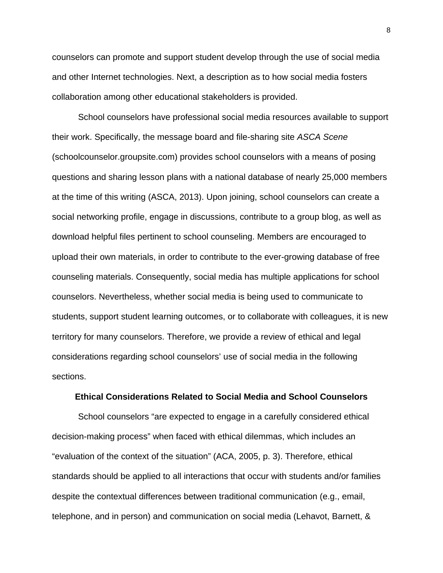counselors can promote and support student develop through the use of social media and other Internet technologies. Next, a description as to how social media fosters collaboration among other educational stakeholders is provided.

School counselors have professional social media resources available to support their work. Specifically, the message board and file-sharing site *ASCA Scene* (schoolcounselor.groupsite.com) provides school counselors with a means of posing questions and sharing lesson plans with a national database of nearly 25,000 members at the time of this writing (ASCA, 2013). Upon joining, school counselors can create a social networking profile, engage in discussions, contribute to a group blog, as well as download helpful files pertinent to school counseling. Members are encouraged to upload their own materials, in order to contribute to the ever-growing database of free counseling materials. Consequently, social media has multiple applications for school counselors. Nevertheless, whether social media is being used to communicate to students, support student learning outcomes, or to collaborate with colleagues, it is new territory for many counselors. Therefore, we provide a review of ethical and legal considerations regarding school counselors' use of social media in the following sections.

# **Ethical Considerations Related to Social Media and School Counselors**

School counselors "are expected to engage in a carefully considered ethical decision-making process" when faced with ethical dilemmas, which includes an "evaluation of the context of the situation" (ACA, 2005, p. 3). Therefore, ethical standards should be applied to all interactions that occur with students and/or families despite the contextual differences between traditional communication (e.g., email, telephone, and in person) and communication on social media (Lehavot, Barnett, &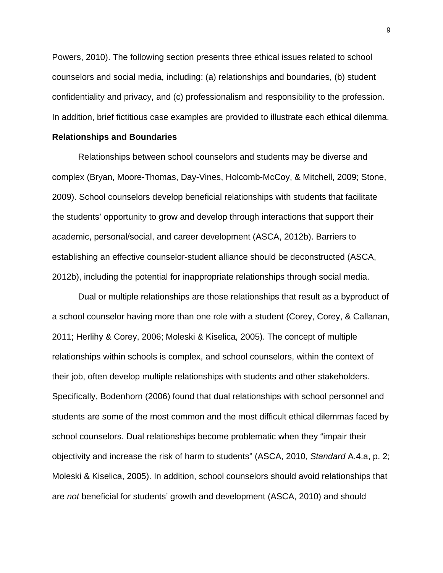Powers, 2010). The following section presents three ethical issues related to school counselors and social media, including: (a) relationships and boundaries, (b) student confidentiality and privacy, and (c) professionalism and responsibility to the profession. In addition, brief fictitious case examples are provided to illustrate each ethical dilemma.

#### **Relationships and Boundaries**

Relationships between school counselors and students may be diverse and complex (Bryan, Moore-Thomas, Day-Vines, Holcomb-McCoy, & Mitchell, 2009; Stone, 2009). School counselors develop beneficial relationships with students that facilitate the students' opportunity to grow and develop through interactions that support their academic, personal/social, and career development (ASCA, 2012b). Barriers to establishing an effective counselor-student alliance should be deconstructed (ASCA, 2012b), including the potential for inappropriate relationships through social media.

Dual or multiple relationships are those relationships that result as a byproduct of a school counselor having more than one role with a student (Corey, Corey, & Callanan, 2011; Herlihy & Corey, 2006; Moleski & Kiselica, 2005). The concept of multiple relationships within schools is complex, and school counselors, within the context of their job, often develop multiple relationships with students and other stakeholders. Specifically, Bodenhorn (2006) found that dual relationships with school personnel and students are some of the most common and the most difficult ethical dilemmas faced by school counselors. Dual relationships become problematic when they "impair their objectivity and increase the risk of harm to students" (ASCA, 2010, *Standard* A.4.a, p. 2; Moleski & Kiselica, 2005). In addition, school counselors should avoid relationships that are *not* beneficial for students' growth and development (ASCA, 2010) and should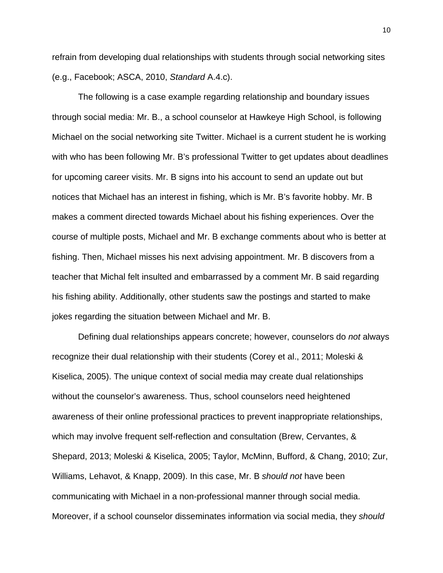refrain from developing dual relationships with students through social networking sites (e.g., Facebook; ASCA, 2010, *Standard* A.4.c).

The following is a case example regarding relationship and boundary issues through social media: Mr. B., a school counselor at Hawkeye High School, is following Michael on the social networking site Twitter. Michael is a current student he is working with who has been following Mr. B's professional Twitter to get updates about deadlines for upcoming career visits. Mr. B signs into his account to send an update out but notices that Michael has an interest in fishing, which is Mr. B's favorite hobby. Mr. B makes a comment directed towards Michael about his fishing experiences. Over the course of multiple posts, Michael and Mr. B exchange comments about who is better at fishing. Then, Michael misses his next advising appointment. Mr. B discovers from a teacher that Michal felt insulted and embarrassed by a comment Mr. B said regarding his fishing ability. Additionally, other students saw the postings and started to make jokes regarding the situation between Michael and Mr. B.

Defining dual relationships appears concrete; however, counselors do *not* always recognize their dual relationship with their students (Corey et al., 2011; Moleski & Kiselica, 2005). The unique context of social media may create dual relationships without the counselor's awareness. Thus, school counselors need heightened awareness of their online professional practices to prevent inappropriate relationships, which may involve frequent self-reflection and consultation (Brew, Cervantes, & Shepard, 2013; Moleski & Kiselica, 2005; Taylor, McMinn, Bufford, & Chang, 2010; Zur, Williams, Lehavot, & Knapp, 2009). In this case, Mr. B *should not* have been communicating with Michael in a non-professional manner through social media. Moreover, if a school counselor disseminates information via social media, they *should*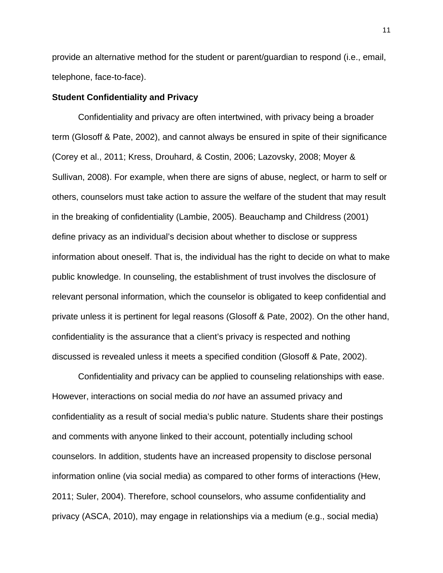provide an alternative method for the student or parent/guardian to respond (i.e., email, telephone, face-to-face).

#### **Student Confidentiality and Privacy**

Confidentiality and privacy are often intertwined, with privacy being a broader term (Glosoff & Pate, 2002), and cannot always be ensured in spite of their significance (Corey et al., 2011; Kress, Drouhard, & Costin, 2006; Lazovsky, 2008; Moyer & Sullivan, 2008). For example, when there are signs of abuse, neglect, or harm to self or others, counselors must take action to assure the welfare of the student that may result in the breaking of confidentiality (Lambie, 2005). Beauchamp and Childress (2001) define privacy as an individual's decision about whether to disclose or suppress information about oneself. That is, the individual has the right to decide on what to make public knowledge. In counseling, the establishment of trust involves the disclosure of relevant personal information, which the counselor is obligated to keep confidential and private unless it is pertinent for legal reasons (Glosoff & Pate, 2002). On the other hand, confidentiality is the assurance that a client's privacy is respected and nothing discussed is revealed unless it meets a specified condition (Glosoff & Pate, 2002).

Confidentiality and privacy can be applied to counseling relationships with ease. However, interactions on social media do *not* have an assumed privacy and confidentiality as a result of social media's public nature. Students share their postings and comments with anyone linked to their account, potentially including school counselors. In addition, students have an increased propensity to disclose personal information online (via social media) as compared to other forms of interactions (Hew, 2011; Suler, 2004). Therefore, school counselors, who assume confidentiality and privacy (ASCA, 2010), may engage in relationships via a medium (e.g., social media)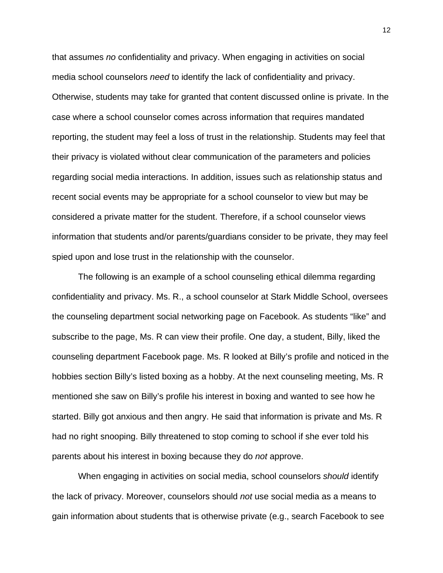that assumes *no* confidentiality and privacy. When engaging in activities on social media school counselors *need* to identify the lack of confidentiality and privacy. Otherwise, students may take for granted that content discussed online is private. In the case where a school counselor comes across information that requires mandated reporting, the student may feel a loss of trust in the relationship. Students may feel that their privacy is violated without clear communication of the parameters and policies regarding social media interactions. In addition, issues such as relationship status and recent social events may be appropriate for a school counselor to view but may be considered a private matter for the student. Therefore, if a school counselor views information that students and/or parents/guardians consider to be private, they may feel spied upon and lose trust in the relationship with the counselor.

The following is an example of a school counseling ethical dilemma regarding confidentiality and privacy. Ms. R., a school counselor at Stark Middle School, oversees the counseling department social networking page on Facebook. As students "like" and subscribe to the page, Ms. R can view their profile. One day, a student, Billy, liked the counseling department Facebook page. Ms. R looked at Billy's profile and noticed in the hobbies section Billy's listed boxing as a hobby. At the next counseling meeting, Ms. R mentioned she saw on Billy's profile his interest in boxing and wanted to see how he started. Billy got anxious and then angry. He said that information is private and Ms. R had no right snooping. Billy threatened to stop coming to school if she ever told his parents about his interest in boxing because they do *not* approve.

When engaging in activities on social media, school counselors *should* identify the lack of privacy. Moreover, counselors should *not* use social media as a means to gain information about students that is otherwise private (e.g., search Facebook to see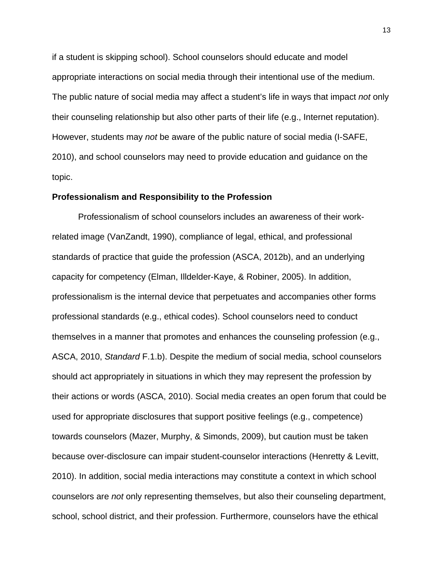if a student is skipping school). School counselors should educate and model appropriate interactions on social media through their intentional use of the medium. The public nature of social media may affect a student's life in ways that impact *not* only their counseling relationship but also other parts of their life (e.g., Internet reputation). However, students may *not* be aware of the public nature of social media (I-SAFE, 2010), and school counselors may need to provide education and guidance on the topic.

#### **Professionalism and Responsibility to the Profession**

Professionalism of school counselors includes an awareness of their workrelated image (VanZandt, 1990), compliance of legal, ethical, and professional standards of practice that guide the profession (ASCA, 2012b), and an underlying capacity for competency (Elman, Illdelder-Kaye, & Robiner, 2005). In addition, professionalism is the internal device that perpetuates and accompanies other forms professional standards (e.g., ethical codes). School counselors need to conduct themselves in a manner that promotes and enhances the counseling profession (e.g., ASCA, 2010, *Standard* F.1.b). Despite the medium of social media, school counselors should act appropriately in situations in which they may represent the profession by their actions or words (ASCA, 2010). Social media creates an open forum that could be used for appropriate disclosures that support positive feelings (e.g., competence) towards counselors (Mazer, Murphy, & Simonds, 2009), but caution must be taken because over-disclosure can impair student-counselor interactions (Henretty & Levitt, 2010). In addition, social media interactions may constitute a context in which school counselors are *not* only representing themselves, but also their counseling department, school, school district, and their profession. Furthermore, counselors have the ethical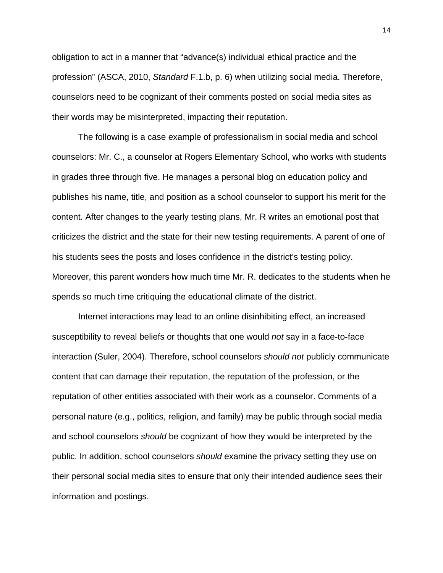obligation to act in a manner that "advance(s) individual ethical practice and the profession" (ASCA, 2010, *Standard* F.1.b, p. 6) when utilizing social media. Therefore, counselors need to be cognizant of their comments posted on social media sites as their words may be misinterpreted, impacting their reputation.

The following is a case example of professionalism in social media and school counselors: Mr. C., a counselor at Rogers Elementary School, who works with students in grades three through five. He manages a personal blog on education policy and publishes his name, title, and position as a school counselor to support his merit for the content. After changes to the yearly testing plans, Mr. R writes an emotional post that criticizes the district and the state for their new testing requirements. A parent of one of his students sees the posts and loses confidence in the district's testing policy. Moreover, this parent wonders how much time Mr. R. dedicates to the students when he spends so much time critiquing the educational climate of the district.

Internet interactions may lead to an online disinhibiting effect, an increased susceptibility to reveal beliefs or thoughts that one would *not* say in a face-to-face interaction (Suler, 2004). Therefore, school counselors *should not* publicly communicate content that can damage their reputation, the reputation of the profession, or the reputation of other entities associated with their work as a counselor. Comments of a personal nature (e.g., politics, religion, and family) may be public through social media and school counselors *should* be cognizant of how they would be interpreted by the public. In addition, school counselors *should* examine the privacy setting they use on their personal social media sites to ensure that only their intended audience sees their information and postings.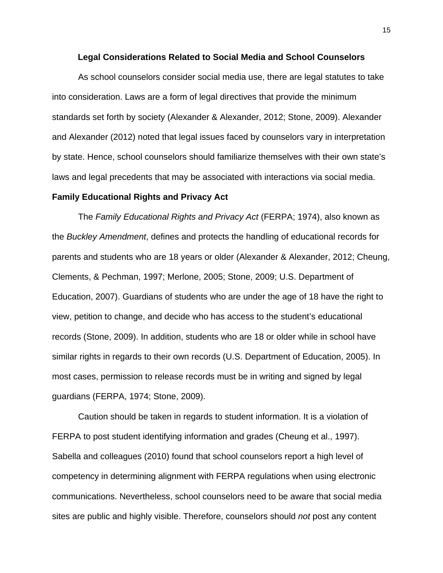#### **Legal Considerations Related to Social Media and School Counselors**

As school counselors consider social media use, there are legal statutes to take into consideration. Laws are a form of legal directives that provide the minimum standards set forth by society (Alexander & Alexander, 2012; Stone, 2009). Alexander and Alexander (2012) noted that legal issues faced by counselors vary in interpretation by state. Hence, school counselors should familiarize themselves with their own state's laws and legal precedents that may be associated with interactions via social media.

### **Family Educational Rights and Privacy Act**

The *Family Educational Rights and Privacy Act* (FERPA; 1974), also known as the *Buckley Amendment*, defines and protects the handling of educational records for parents and students who are 18 years or older (Alexander & Alexander, 2012; Cheung, Clements, & Pechman, 1997; Merlone, 2005; Stone, 2009; U.S. Department of Education, 2007). Guardians of students who are under the age of 18 have the right to view, petition to change, and decide who has access to the student's educational records (Stone, 2009). In addition, students who are 18 or older while in school have similar rights in regards to their own records (U.S. Department of Education, 2005). In most cases, permission to release records must be in writing and signed by legal guardians (FERPA, 1974; Stone, 2009).

Caution should be taken in regards to student information. It is a violation of FERPA to post student identifying information and grades (Cheung et al., 1997). Sabella and colleagues (2010) found that school counselors report a high level of competency in determining alignment with FERPA regulations when using electronic communications. Nevertheless, school counselors need to be aware that social media sites are public and highly visible. Therefore, counselors should *not* post any content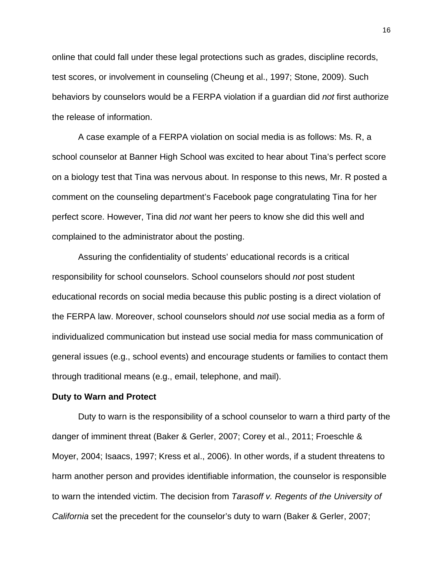online that could fall under these legal protections such as grades, discipline records, test scores, or involvement in counseling (Cheung et al., 1997; Stone, 2009). Such behaviors by counselors would be a FERPA violation if a guardian did *not* first authorize the release of information.

A case example of a FERPA violation on social media is as follows: Ms. R, a school counselor at Banner High School was excited to hear about Tina's perfect score on a biology test that Tina was nervous about. In response to this news, Mr. R posted a comment on the counseling department's Facebook page congratulating Tina for her perfect score. However, Tina did *not* want her peers to know she did this well and complained to the administrator about the posting.

Assuring the confidentiality of students' educational records is a critical responsibility for school counselors. School counselors should *not* post student educational records on social media because this public posting is a direct violation of the FERPA law. Moreover, school counselors should *not* use social media as a form of individualized communication but instead use social media for mass communication of general issues (e.g., school events) and encourage students or families to contact them through traditional means (e.g., email, telephone, and mail).

#### **Duty to Warn and Protect**

Duty to warn is the responsibility of a school counselor to warn a third party of the danger of imminent threat (Baker & Gerler, 2007; Corey et al., 2011; Froeschle & Moyer, 2004; Isaacs, 1997; Kress et al., 2006). In other words, if a student threatens to harm another person and provides identifiable information, the counselor is responsible to warn the intended victim. The decision from *Tarasoff v. Regents of the University of California* set the precedent for the counselor's duty to warn (Baker & Gerler, 2007;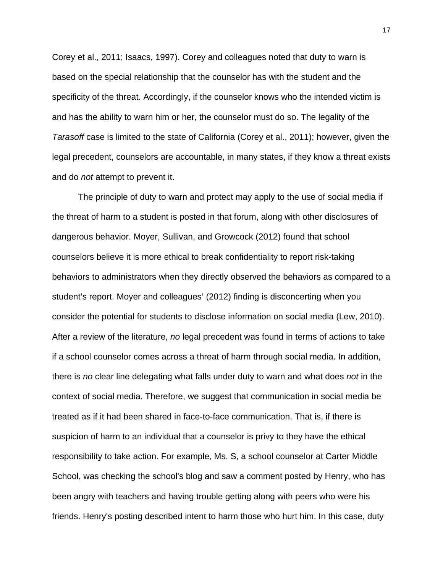Corey et al., 2011; Isaacs, 1997). Corey and colleagues noted that duty to warn is based on the special relationship that the counselor has with the student and the specificity of the threat. Accordingly, if the counselor knows who the intended victim is and has the ability to warn him or her, the counselor must do so. The legality of the *Tarasoff* case is limited to the state of California (Corey et al., 2011); however, given the legal precedent, counselors are accountable, in many states, if they know a threat exists and do *not* attempt to prevent it.

The principle of duty to warn and protect may apply to the use of social media if the threat of harm to a student is posted in that forum, along with other disclosures of dangerous behavior. Moyer, Sullivan, and Growcock (2012) found that school counselors believe it is more ethical to break confidentiality to report risk-taking behaviors to administrators when they directly observed the behaviors as compared to a student's report. Moyer and colleagues' (2012) finding is disconcerting when you consider the potential for students to disclose information on social media (Lew, 2010). After a review of the literature, *no* legal precedent was found in terms of actions to take if a school counselor comes across a threat of harm through social media. In addition, there is *no* clear line delegating what falls under duty to warn and what does *not* in the context of social media. Therefore, we suggest that communication in social media be treated as if it had been shared in face-to-face communication. That is, if there is suspicion of harm to an individual that a counselor is privy to they have the ethical responsibility to take action. For example, Ms. S, a school counselor at Carter Middle School, was checking the school's blog and saw a comment posted by Henry, who has been angry with teachers and having trouble getting along with peers who were his friends. Henry's posting described intent to harm those who hurt him. In this case, duty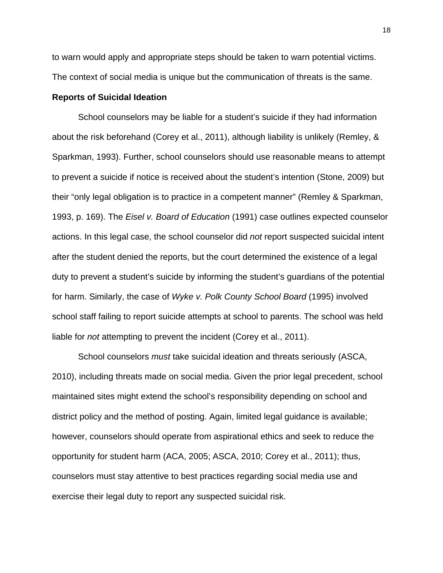to warn would apply and appropriate steps should be taken to warn potential victims. The context of social media is unique but the communication of threats is the same.

# **Reports of Suicidal Ideation**

School counselors may be liable for a student's suicide if they had information about the risk beforehand (Corey et al., 2011), although liability is unlikely (Remley, & Sparkman, 1993). Further, school counselors should use reasonable means to attempt to prevent a suicide if notice is received about the student's intention (Stone, 2009) but their "only legal obligation is to practice in a competent manner" (Remley & Sparkman, 1993, p. 169). The *Eisel v. Board of Education* (1991) case outlines expected counselor actions. In this legal case, the school counselor did *not* report suspected suicidal intent after the student denied the reports, but the court determined the existence of a legal duty to prevent a student's suicide by informing the student's guardians of the potential for harm. Similarly, the case of *Wyke v. Polk County School Board* (1995) involved school staff failing to report suicide attempts at school to parents. The school was held liable for *not* attempting to prevent the incident (Corey et al., 2011).

School counselors *must* take suicidal ideation and threats seriously (ASCA, 2010), including threats made on social media. Given the prior legal precedent, school maintained sites might extend the school's responsibility depending on school and district policy and the method of posting. Again, limited legal guidance is available; however, counselors should operate from aspirational ethics and seek to reduce the opportunity for student harm (ACA, 2005; ASCA, 2010; Corey et al., 2011); thus, counselors must stay attentive to best practices regarding social media use and exercise their legal duty to report any suspected suicidal risk.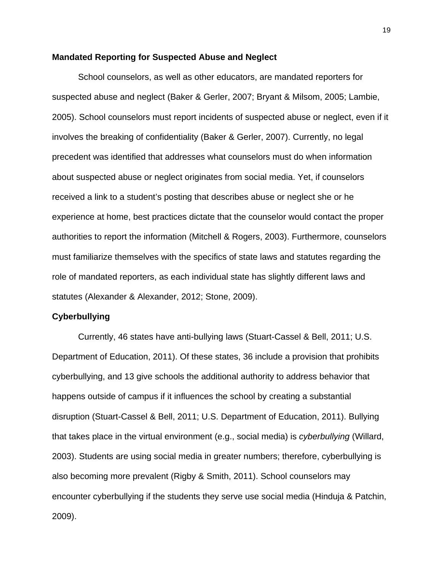#### **Mandated Reporting for Suspected Abuse and Neglect**

School counselors, as well as other educators, are mandated reporters for suspected abuse and neglect (Baker & Gerler, 2007; Bryant & Milsom, 2005; Lambie, 2005). School counselors must report incidents of suspected abuse or neglect, even if it involves the breaking of confidentiality (Baker & Gerler, 2007). Currently, no legal precedent was identified that addresses what counselors must do when information about suspected abuse or neglect originates from social media. Yet, if counselors received a link to a student's posting that describes abuse or neglect she or he experience at home, best practices dictate that the counselor would contact the proper authorities to report the information (Mitchell & Rogers, 2003). Furthermore, counselors must familiarize themselves with the specifics of state laws and statutes regarding the role of mandated reporters, as each individual state has slightly different laws and statutes (Alexander & Alexander, 2012; Stone, 2009).

# **Cyberbullying**

Currently, 46 states have anti-bullying laws (Stuart-Cassel & Bell, 2011; U.S. Department of Education, 2011). Of these states, 36 include a provision that prohibits cyberbullying, and 13 give schools the additional authority to address behavior that happens outside of campus if it influences the school by creating a substantial disruption (Stuart-Cassel & Bell, 2011; U.S. Department of Education, 2011). Bullying that takes place in the virtual environment (e.g., social media) is *cyberbullying* (Willard, 2003). Students are using social media in greater numbers; therefore, cyberbullying is also becoming more prevalent (Rigby & Smith, 2011). School counselors may encounter cyberbullying if the students they serve use social media (Hinduja & Patchin, 2009).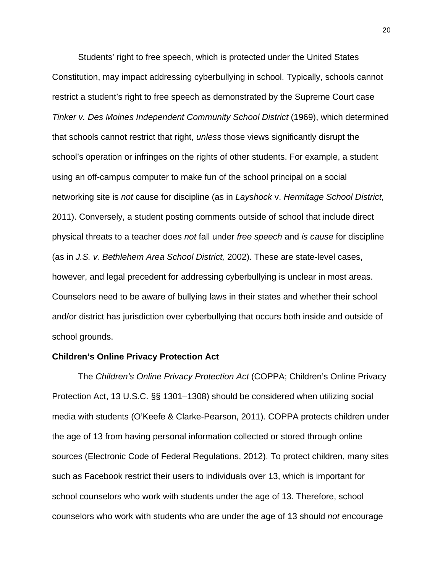Students' right to free speech, which is protected under the United States Constitution, may impact addressing cyberbullying in school. Typically, schools cannot restrict a student's right to free speech as demonstrated by the Supreme Court case *Tinker v. Des Moines Independent Community School District* (1969), which determined that schools cannot restrict that right, *unless* those views significantly disrupt the school's operation or infringes on the rights of other students. For example, a student using an off-campus computer to make fun of the school principal on a social networking site is *not* cause for discipline (as in *Layshock* v. *Hermitage School District,*  2011). Conversely, a student posting comments outside of school that include direct physical threats to a teacher does *not* fall under *free speech* and *is cause* for discipline (as in *J.S. v. Bethlehem Area School District,* 2002). These are state-level cases, however, and legal precedent for addressing cyberbullying is unclear in most areas. Counselors need to be aware of bullying laws in their states and whether their school and/or district has jurisdiction over cyberbullying that occurs both inside and outside of school grounds.

#### **Children's Online Privacy Protection Act**

The *Children's Online Privacy Protection Act* (COPPA; Children's Online Privacy Protection Act, 13 U.S.C. §§ 1301–1308) should be considered when utilizing social media with students (O'Keefe & Clarke-Pearson, 2011). COPPA protects children under the age of 13 from having personal information collected or stored through online sources (Electronic Code of Federal Regulations, 2012). To protect children, many sites such as Facebook restrict their users to individuals over 13, which is important for school counselors who work with students under the age of 13. Therefore, school counselors who work with students who are under the age of 13 should *not* encourage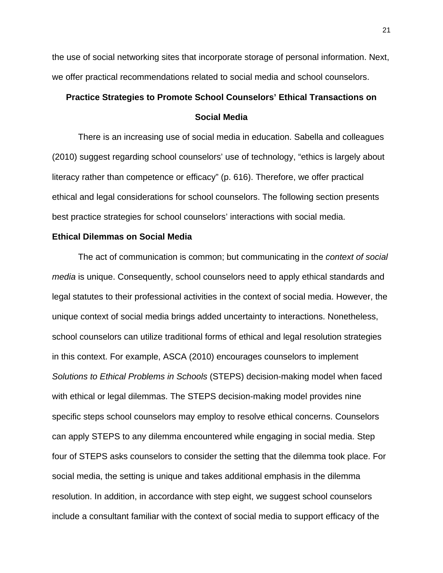the use of social networking sites that incorporate storage of personal information. Next, we offer practical recommendations related to social media and school counselors.

# **Practice Strategies to Promote School Counselors' Ethical Transactions on Social Media**

There is an increasing use of social media in education. Sabella and colleagues (2010) suggest regarding school counselors' use of technology, "ethics is largely about literacy rather than competence or efficacy" (p. 616). Therefore, we offer practical ethical and legal considerations for school counselors. The following section presents best practice strategies for school counselors' interactions with social media.

# **Ethical Dilemmas on Social Media**

The act of communication is common; but communicating in the *context of social media* is unique. Consequently, school counselors need to apply ethical standards and legal statutes to their professional activities in the context of social media. However, the unique context of social media brings added uncertainty to interactions. Nonetheless, school counselors can utilize traditional forms of ethical and legal resolution strategies in this context. For example, ASCA (2010) encourages counselors to implement *Solutions to Ethical Problems in Schools* (STEPS) decision-making model when faced with ethical or legal dilemmas. The STEPS decision-making model provides nine specific steps school counselors may employ to resolve ethical concerns. Counselors can apply STEPS to any dilemma encountered while engaging in social media. Step four of STEPS asks counselors to consider the setting that the dilemma took place. For social media, the setting is unique and takes additional emphasis in the dilemma resolution. In addition, in accordance with step eight, we suggest school counselors include a consultant familiar with the context of social media to support efficacy of the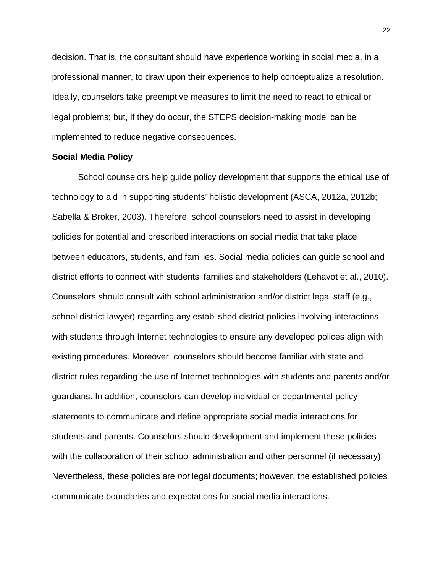decision. That is, the consultant should have experience working in social media, in a professional manner, to draw upon their experience to help conceptualize a resolution. Ideally, counselors take preemptive measures to limit the need to react to ethical or legal problems; but, if they do occur, the STEPS decision-making model can be implemented to reduce negative consequences.

#### **Social Media Policy**

School counselors help guide policy development that supports the ethical use of technology to aid in supporting students' holistic development (ASCA, 2012a, 2012b; Sabella & Broker, 2003). Therefore, school counselors need to assist in developing policies for potential and prescribed interactions on social media that take place between educators, students, and families. Social media policies can guide school and district efforts to connect with students' families and stakeholders (Lehavot et al., 2010). Counselors should consult with school administration and/or district legal staff (e.g., school district lawyer) regarding any established district policies involving interactions with students through Internet technologies to ensure any developed polices align with existing procedures. Moreover, counselors should become familiar with state and district rules regarding the use of Internet technologies with students and parents and/or guardians. In addition, counselors can develop individual or departmental policy statements to communicate and define appropriate social media interactions for students and parents. Counselors should development and implement these policies with the collaboration of their school administration and other personnel (if necessary). Nevertheless, these policies are *not* legal documents; however, the established policies communicate boundaries and expectations for social media interactions.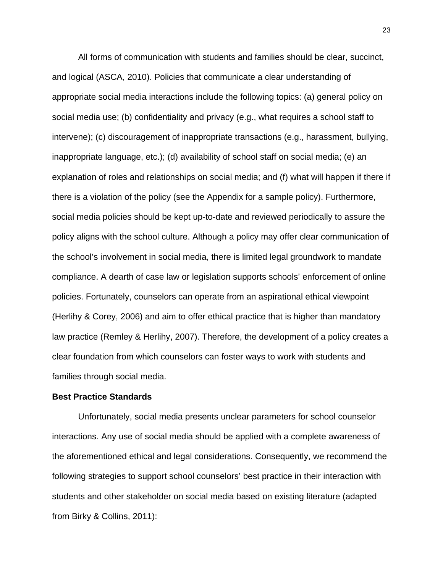All forms of communication with students and families should be clear, succinct, and logical (ASCA, 2010). Policies that communicate a clear understanding of appropriate social media interactions include the following topics: (a) general policy on social media use; (b) confidentiality and privacy (e.g., what requires a school staff to intervene); (c) discouragement of inappropriate transactions (e.g., harassment, bullying, inappropriate language, etc.); (d) availability of school staff on social media; (e) an explanation of roles and relationships on social media; and (f) what will happen if there if there is a violation of the policy (see the Appendix for a sample policy). Furthermore, social media policies should be kept up-to-date and reviewed periodically to assure the policy aligns with the school culture. Although a policy may offer clear communication of the school's involvement in social media, there is limited legal groundwork to mandate compliance. A dearth of case law or legislation supports schools' enforcement of online policies. Fortunately, counselors can operate from an aspirational ethical viewpoint (Herlihy & Corey, 2006) and aim to offer ethical practice that is higher than mandatory law practice (Remley & Herlihy, 2007). Therefore, the development of a policy creates a clear foundation from which counselors can foster ways to work with students and families through social media.

#### **Best Practice Standards**

Unfortunately, social media presents unclear parameters for school counselor interactions. Any use of social media should be applied with a complete awareness of the aforementioned ethical and legal considerations. Consequently, we recommend the following strategies to support school counselors' best practice in their interaction with students and other stakeholder on social media based on existing literature (adapted from Birky & Collins, 2011):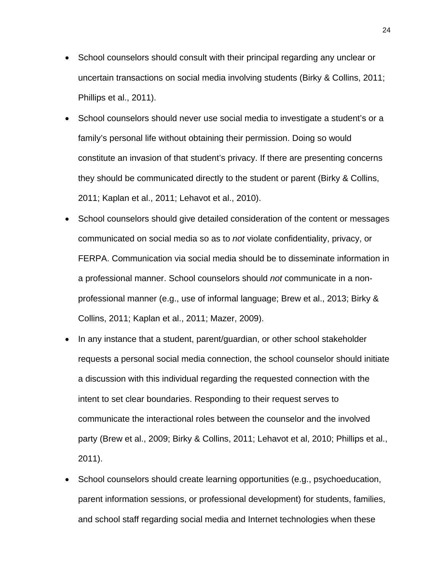- School counselors should consult with their principal regarding any unclear or uncertain transactions on social media involving students (Birky & Collins, 2011; Phillips et al., 2011).
- School counselors should never use social media to investigate a student's or a family's personal life without obtaining their permission. Doing so would constitute an invasion of that student's privacy. If there are presenting concerns they should be communicated directly to the student or parent (Birky & Collins, 2011; Kaplan et al., 2011; Lehavot et al., 2010).
- School counselors should give detailed consideration of the content or messages communicated on social media so as to *not* violate confidentiality, privacy, or FERPA. Communication via social media should be to disseminate information in a professional manner. School counselors should *not* communicate in a nonprofessional manner (e.g., use of informal language; Brew et al., 2013; Birky & Collins, 2011; Kaplan et al., 2011; Mazer, 2009).
- In any instance that a student, parent/guardian, or other school stakeholder requests a personal social media connection, the school counselor should initiate a discussion with this individual regarding the requested connection with the intent to set clear boundaries. Responding to their request serves to communicate the interactional roles between the counselor and the involved party (Brew et al., 2009; Birky & Collins, 2011; Lehavot et al, 2010; Phillips et al., 2011).
- School counselors should create learning opportunities (e.g., psychoeducation, parent information sessions, or professional development) for students, families, and school staff regarding social media and Internet technologies when these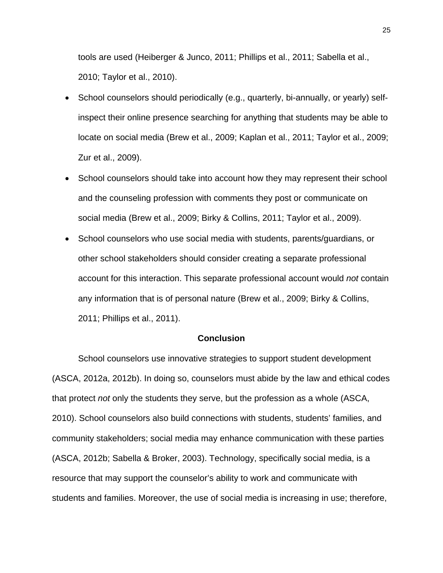tools are used (Heiberger & Junco, 2011; Phillips et al., 2011; Sabella et al., 2010; Taylor et al., 2010).

- School counselors should periodically (e.g., quarterly, bi-annually, or yearly) selfinspect their online presence searching for anything that students may be able to locate on social media (Brew et al., 2009; Kaplan et al., 2011; Taylor et al., 2009; Zur et al., 2009).
- School counselors should take into account how they may represent their school and the counseling profession with comments they post or communicate on social media (Brew et al., 2009; Birky & Collins, 2011; Taylor et al., 2009).
- School counselors who use social media with students, parents/guardians, or other school stakeholders should consider creating a separate professional account for this interaction. This separate professional account would *not* contain any information that is of personal nature (Brew et al., 2009; Birky & Collins, 2011; Phillips et al., 2011).

# **Conclusion**

School counselors use innovative strategies to support student development (ASCA, 2012a, 2012b). In doing so, counselors must abide by the law and ethical codes that protect *not* only the students they serve, but the profession as a whole (ASCA, 2010). School counselors also build connections with students, students' families, and community stakeholders; social media may enhance communication with these parties (ASCA, 2012b; Sabella & Broker, 2003). Technology, specifically social media, is a resource that may support the counselor's ability to work and communicate with students and families. Moreover, the use of social media is increasing in use; therefore,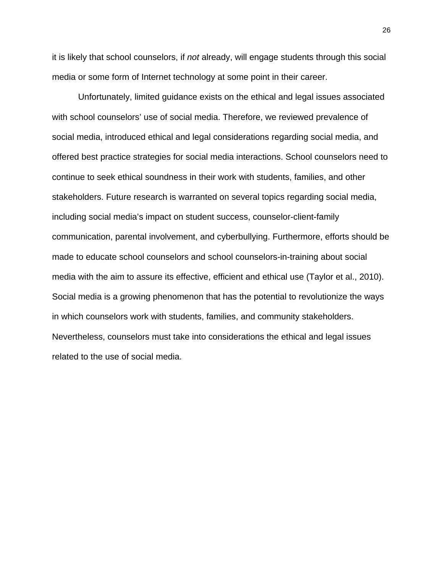it is likely that school counselors, if *not* already, will engage students through this social media or some form of Internet technology at some point in their career.

Unfortunately, limited guidance exists on the ethical and legal issues associated with school counselors' use of social media. Therefore, we reviewed prevalence of social media, introduced ethical and legal considerations regarding social media, and offered best practice strategies for social media interactions. School counselors need to continue to seek ethical soundness in their work with students, families, and other stakeholders. Future research is warranted on several topics regarding social media, including social media's impact on student success, counselor-client-family communication, parental involvement, and cyberbullying. Furthermore, efforts should be made to educate school counselors and school counselors-in-training about social media with the aim to assure its effective, efficient and ethical use (Taylor et al., 2010). Social media is a growing phenomenon that has the potential to revolutionize the ways in which counselors work with students, families, and community stakeholders. Nevertheless, counselors must take into considerations the ethical and legal issues related to the use of social media.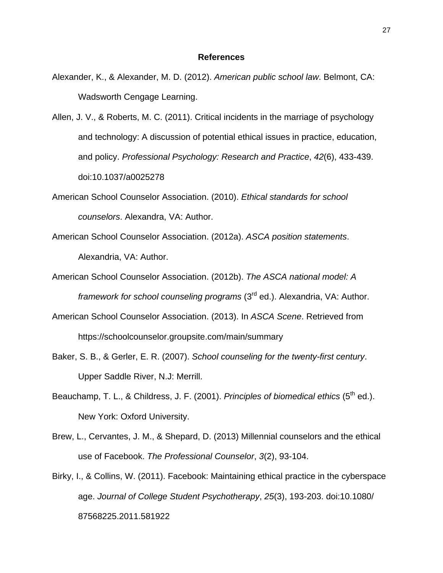#### **References**

- Alexander, K., & Alexander, M. D. (2012). *American public school law*. Belmont, CA: Wadsworth Cengage Learning.
- Allen, J. V., & Roberts, M. C. (2011). Critical incidents in the marriage of psychology and technology: A discussion of potential ethical issues in practice, education, and policy. *Professional Psychology: Research and Practice*, *42*(6), 433-439. doi:10.1037/a0025278
- American School Counselor Association. (2010). *Ethical standards for school counselors*. Alexandra, VA: Author.
- American School Counselor Association. (2012a). *ASCA position statements*. Alexandria, VA: Author.
- American School Counselor Association. (2012b). *The ASCA national model: A framework for school counseling programs* (3rd ed.). Alexandria, VA: Author.
- American School Counselor Association. (2013). In *ASCA Scene*. Retrieved from https://schoolcounselor.groupsite.com/main/summary
- Baker, S. B., & Gerler, E. R. (2007). *School counseling for the twenty-first century*. Upper Saddle River, N.J: Merrill.
- Beauchamp, T. L., & Childress, J. F. (2001). *Principles of biomedical ethics* (5<sup>th</sup> ed.). New York: Oxford University.
- Brew, L., Cervantes, J. M., & Shepard, D. (2013) Millennial counselors and the ethical use of Facebook. *The Professional Counselor*, *3*(2), 93-104.
- Birky, I., & Collins, W. (2011). Facebook: Maintaining ethical practice in the cyberspace age. *Journal of College Student Psychotherapy*, *25*(3), 193-203. doi:10.1080/ 87568225.2011.581922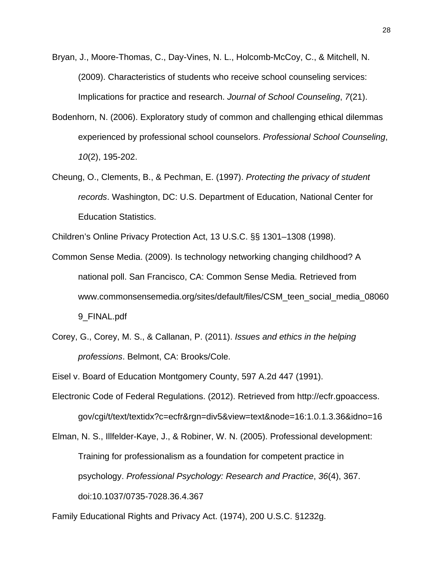Bryan, J., Moore-Thomas, C., Day-Vines, N. L., Holcomb-McCoy, C., & Mitchell, N. (2009). Characteristics of students who receive school counseling services: Implications for practice and research. *Journal of School Counseling*, *7*(21).

- Bodenhorn, N. (2006). Exploratory study of common and challenging ethical dilemmas experienced by professional school counselors. *Professional School Counseling*, *10*(2), 195-202.
- Cheung, O., Clements, B., & Pechman, E. (1997). *Protecting the privacy of student records*. Washington, DC: U.S. Department of Education, National Center for Education Statistics.

Children's Online Privacy Protection Act, 13 U.S.C. §§ 1301–1308 (1998).

- Common Sense Media. (2009). Is technology networking changing childhood? A national poll. San Francisco, CA: Common Sense Media. Retrieved from www.commonsensemedia.org/sites/default/files/CSM\_teen\_social\_media\_08060 9\_FINAL.pdf
- Corey, G., Corey, M. S., & Callanan, P. (2011). *Issues and ethics in the helping professions*. Belmont, CA: Brooks/Cole.

Eisel v. Board of Education Montgomery County, 597 A.2d 447 (1991).

Electronic Code of Federal Regulations. (2012). Retrieved from http://ecfr.gpoaccess. gov/cgi/t/text/textidx?c=ecfr&rgn=div5&view=text&node=16:1.0.1.3.36&idno=16

Elman, N. S., Illfelder-Kaye, J., & Robiner, W. N. (2005). Professional development: Training for professionalism as a foundation for competent practice in psychology. *Professional Psychology: Research and Practice*, *36*(4), 367. doi:10.1037/0735-7028.36.4.367

Family Educational Rights and Privacy Act. (1974), 200 U.S.C. §1232g.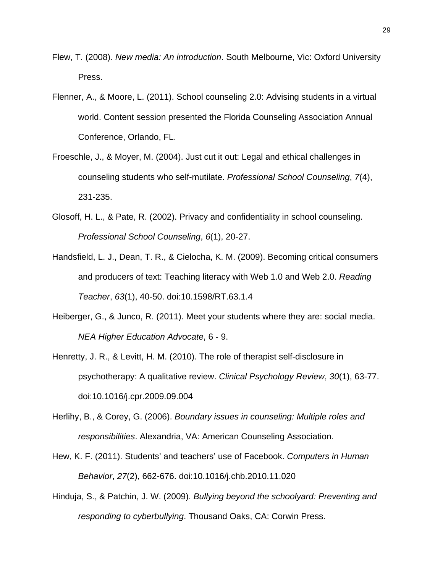- Flew, T. (2008). *New media: An introduction*. South Melbourne, Vic: Oxford University Press.
- Flenner, A., & Moore, L. (2011). School counseling 2.0: Advising students in a virtual world. Content session presented the Florida Counseling Association Annual Conference, Orlando, FL.
- Froeschle, J., & Moyer, M. (2004). Just cut it out: Legal and ethical challenges in counseling students who self-mutilate. *Professional School Counseling*, *7*(4), 231-235.
- Glosoff, H. L., & Pate, R. (2002). Privacy and confidentiality in school counseling. *Professional School Counseling*, *6*(1), 20-27.
- Handsfield, L. J., Dean, T. R., & Cielocha, K. M. (2009). Becoming critical consumers and producers of text: Teaching literacy with Web 1.0 and Web 2.0. *Reading Teacher*, *63*(1), 40-50. doi:10.1598/RT.63.1.4
- Heiberger, G., & Junco, R. (2011). Meet your students where they are: social media. *NEA Higher Education Advocate*, 6 - 9.
- Henretty, J. R., & Levitt, H. M. (2010). The role of therapist self-disclosure in psychotherapy: A qualitative review. *Clinical Psychology Review*, *30*(1), 63-77. doi:10.1016/j.cpr.2009.09.004
- Herlihy, B., & Corey, G. (2006). *Boundary issues in counseling: Multiple roles and responsibilities*. Alexandria, VA: American Counseling Association.
- Hew, K. F. (2011). Students' and teachers' use of Facebook. *Computers in Human Behavior*, *27*(2), 662-676. doi:10.1016/j.chb.2010.11.020
- Hinduja, S., & Patchin, J. W. (2009). *Bullying beyond the schoolyard: Preventing and responding to cyberbullying*. Thousand Oaks, CA: Corwin Press.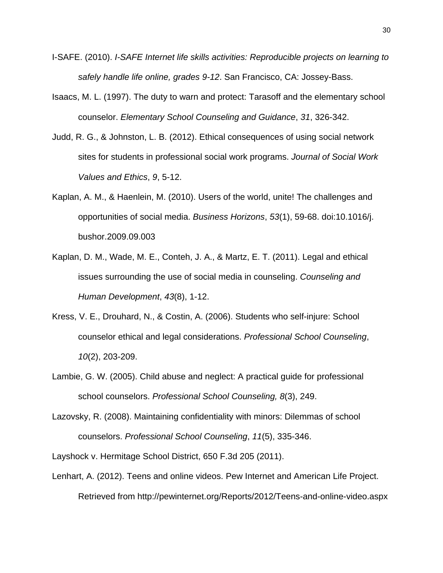- I-SAFE. (2010). *I-SAFE Internet life skills activities: Reproducible projects on learning to safely handle life online, grades 9-12*. San Francisco, CA: Jossey-Bass.
- Isaacs, M. L. (1997). The duty to warn and protect: Tarasoff and the elementary school counselor. *Elementary School Counseling and Guidance*, *31*, 326-342.
- Judd, R. G., & Johnston, L. B. (2012). Ethical consequences of using social network sites for students in professional social work programs. *Journal of Social Work Values and Ethics*, *9*, 5-12.
- Kaplan, A. M., & Haenlein, M. (2010). Users of the world, unite! The challenges and opportunities of social media. *Business Horizons*, *53*(1), 59-68. doi:10.1016/j. bushor.2009.09.003
- Kaplan, D. M., Wade, M. E., Conteh, J. A., & Martz, E. T. (2011). Legal and ethical issues surrounding the use of social media in counseling. *Counseling and Human Development*, *43*(8), 1-12.
- Kress, V. E., Drouhard, N., & Costin, A. (2006). Students who self-injure: School counselor ethical and legal considerations. *Professional School Counseling*, *10*(2), 203-209.
- Lambie, G. W. (2005). Child abuse and neglect: A practical guide for professional school counselors. *Professional School Counseling, 8*(3), 249.
- Lazovsky, R. (2008). Maintaining confidentiality with minors: Dilemmas of school counselors. *Professional School Counseling*, *11*(5), 335-346.

Layshock v. Hermitage School District, 650 F.3d 205 (2011).

Lenhart, A. (2012). Teens and online videos. Pew Internet and American Life Project. Retrieved from http://pewinternet.org/Reports/2012/Teens-and-online-video.aspx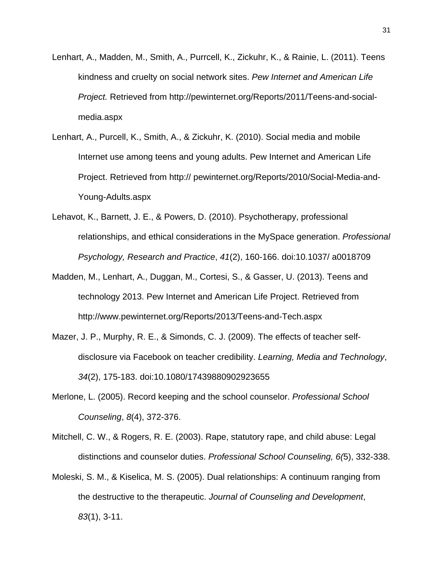- Lenhart, A., Madden, M., Smith, A., Purrcell, K., Zickuhr, K., & Rainie, L. (2011). Teens kindness and cruelty on social network sites. *Pew Internet and American Life Project.* Retrieved from http://pewinternet.org/Reports/2011/Teens-and-socialmedia.aspx
- Lenhart, A., Purcell, K., Smith, A., & Zickuhr, K. (2010). Social media and mobile Internet use among teens and young adults. Pew Internet and American Life Project. Retrieved from http:// pewinternet.org/Reports/2010/Social-Media-and-Young-Adults.aspx
- Lehavot, K., Barnett, J. E., & Powers, D. (2010). Psychotherapy, professional relationships, and ethical considerations in the MySpace generation. *Professional Psychology, Research and Practice*, *41*(2), 160-166. doi:10.1037/ a0018709
- Madden, M., Lenhart, A., Duggan, M., Cortesi, S., & Gasser, U. (2013). Teens and technology 2013. Pew Internet and American Life Project. Retrieved from http://www.pewinternet.org/Reports/2013/Teens-and-Tech.aspx
- Mazer, J. P., Murphy, R. E., & Simonds, C. J. (2009). The effects of teacher self‐ disclosure via Facebook on teacher credibility. *Learning, Media and Technology*, *34*(2), 175-183. doi:10.1080/17439880902923655
- Merlone, L. (2005). Record keeping and the school counselor. *Professional School Counseling*, *8*(4), 372-376.
- Mitchell, C. W., & Rogers, R. E. (2003). Rape, statutory rape, and child abuse: Legal distinctions and counselor duties. *Professional School Counseling, 6(*5), 332-338.
- Moleski, S. M., & Kiselica, M. S. (2005). Dual relationships: A continuum ranging from the destructive to the therapeutic. *Journal of Counseling and Development*, *83*(1), 3-11.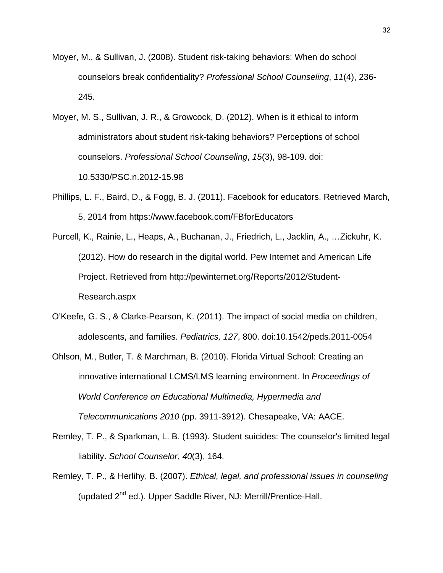- Moyer, M., & Sullivan, J. (2008). Student risk-taking behaviors: When do school counselors break confidentiality? *Professional School Counseling*, *11*(4), 236- 245.
- Moyer, M. S., Sullivan, J. R., & Growcock, D. (2012). When is it ethical to inform administrators about student risk-taking behaviors? Perceptions of school counselors. *Professional School Counseling*, *15*(3), 98-109. doi: 10.5330/PSC.n.2012-15.98
- Phillips, L. F., Baird, D., & Fogg, B. J. (2011). Facebook for educators. Retrieved March, 5, 2014 from https://www.facebook.com/FBforEducators
- Purcell, K., Rainie, L., Heaps, A., Buchanan, J., Friedrich, L., Jacklin, A., …Zickuhr, K. (2012). How do research in the digital world. Pew Internet and American Life Project. Retrieved from http://pewinternet.org/Reports/2012/Student-Research.aspx
- O'Keefe, G. S., & Clarke-Pearson, K. (2011). The impact of social media on children, adolescents, and families. *Pediatrics, 127*, 800. doi:10.1542/peds.2011-0054
- Ohlson, M., Butler, T. & Marchman, B. (2010). Florida Virtual School: Creating an innovative international LCMS/LMS learning environment. In *Proceedings of World Conference on Educational Multimedia, Hypermedia and Telecommunications 2010* (pp. 3911-3912). Chesapeake, VA: AACE.
- Remley, T. P., & Sparkman, L. B. (1993). Student suicides: The counselor's limited legal liability. *School Counselor*, *40*(3), 164.
- Remley, T. P., & Herlihy, B. (2007). *Ethical, legal, and professional issues in counseling* (updated 2<sup>nd</sup> ed.). Upper Saddle River, NJ: Merrill/Prentice-Hall.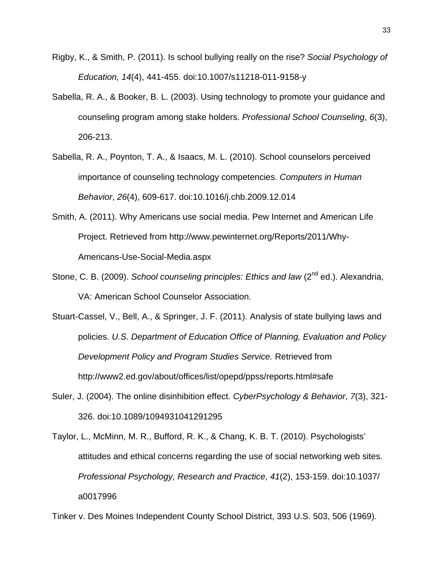- Rigby, K., & Smith, P. (2011). Is school bullying really on the rise? *Social Psychology of Education, 14*(4), 441-455. doi:10.1007/s11218-011-9158-y
- Sabella, R. A., & Booker, B. L. (2003). Using technology to promote your guidance and counseling program among stake holders. *Professional School Counseling*, *6*(3), 206-213.
- Sabella, R. A., Poynton, T. A., & Isaacs, M. L. (2010). School counselors perceived importance of counseling technology competencies. *Computers in Human Behavior*, *26*(4), 609-617. doi:10.1016/j.chb.2009.12.014
- Smith, A. (2011). Why Americans use social media. Pew Internet and American Life Project. Retrieved from http://www.pewinternet.org/Reports/2011/Why-Americans-Use-Social-Media.aspx
- Stone, C. B. (2009). *School counseling principles: Ethics and law* (2<sup>nd</sup> ed.). Alexandria, VA: American School Counselor Association.
- Stuart-Cassel, V., Bell, A., & Springer, J. F. (2011). Analysis of state bullying laws and policies. *U.S. Department of Education Office of Planning, Evaluation and Policy Development Policy and Program Studies Service.* Retrieved from http://www2.ed.gov/about/offices/list/opepd/ppss/reports.html#safe
- Suler, J. (2004). The online disinhibition effect. *CyberPsychology & Behavior*, *7*(3), 321- 326. doi:10.1089/1094931041291295
- Taylor, L., McMinn, M. R., Bufford, R. K., & Chang, K. B. T. (2010). Psychologists' attitudes and ethical concerns regarding the use of social networking web sites. *Professional Psychology, Research and Practice*, *41*(2), 153-159. doi:10.1037/ a0017996

Tinker v. Des Moines Independent County School District, 393 U.S. 503, 506 (1969).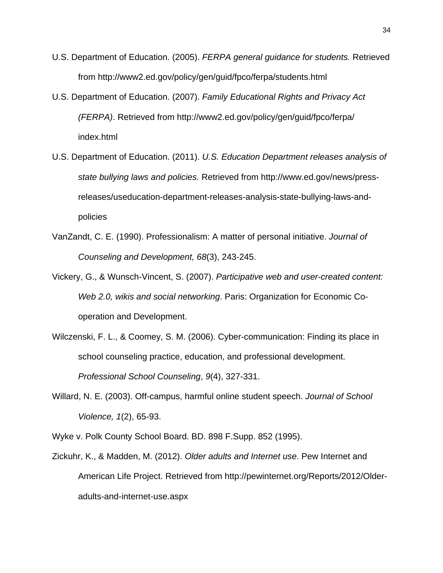- U.S. Department of Education. (2005). *FERPA general guidance for students.* Retrieved from http://www2.ed.gov/policy/gen/guid/fpco/ferpa/students.html
- U.S. Department of Education. (2007). *Family Educational Rights and Privacy Act (FERPA)*. Retrieved from http://www2.ed.gov/policy/gen/guid/fpco/ferpa/ index.html
- U.S. Department of Education. (2011). *U.S. Education Department releases analysis of state bullying laws and policies.* Retrieved from http://www.ed.gov/news/pressreleases/useducation-department-releases-analysis-state-bullying-laws-andpolicies
- VanZandt, C. E. (1990). Professionalism: A matter of personal initiative. *Journal of Counseling and Development, 68*(3), 243-245.
- Vickery, G., & Wunsch-Vincent, S. (2007). *Participative web and user-created content: Web 2.0, wikis and social networking*. Paris: Organization for Economic Cooperation and Development.
- Wilczenski, F. L., & Coomey, S. M. (2006). Cyber-communication: Finding its place in school counseling practice, education, and professional development. *Professional School Counseling*, *9*(4), 327-331.
- Willard, N. E. (2003). Off-campus, harmful online student speech. *Journal of School Violence, 1*(2), 65-93.
- Wyke v. Polk County School Board. BD. 898 F.Supp. 852 (1995).
- Zickuhr, K., & Madden, M. (2012). *Older adults and Internet use*. Pew Internet and American Life Project. Retrieved from http://pewinternet.org/Reports/2012/Olderadults-and-internet-use.aspx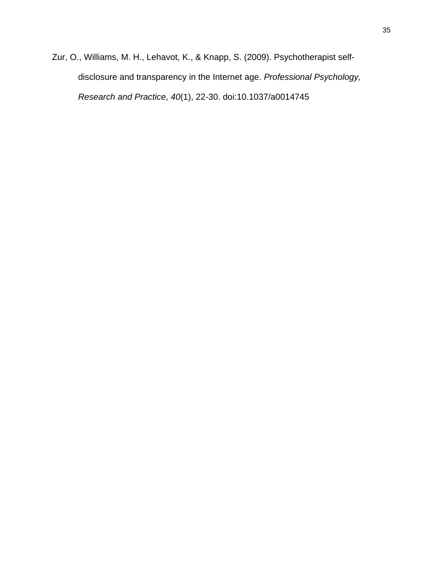Zur, O., Williams, M. H., Lehavot, K., & Knapp, S. (2009). Psychotherapist selfdisclosure and transparency in the Internet age. *Professional Psychology, Research and Practice*, *40*(1), 22-30. doi:10.1037/a0014745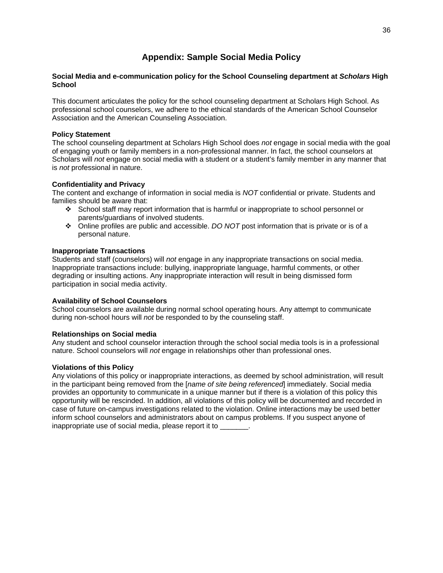# **Appendix: Sample Social Media Policy**

#### **Social Media and e-communication policy for the School Counseling department at** *Scholars* **High School**

This document articulates the policy for the school counseling department at Scholars High School. As professional school counselors, we adhere to the ethical standards of the American School Counselor Association and the American Counseling Association.

#### **Policy Statement**

The school counseling department at Scholars High School does *not* engage in social media with the goal of engaging youth or family members in a non-professional manner. In fact, the school counselors at Scholars will *not* engage on social media with a student or a student's family member in any manner that is *not* professional in nature.

# **Confidentiality and Privacy**

The content and exchange of information in social media is *NOT* confidential or private. Students and families should be aware that:

- School staff may report information that is harmful or inappropriate to school personnel or parents/guardians of involved students.
- Online profiles are public and accessible. *DO NOT* post information that is private or is of a personal nature.

#### **Inappropriate Transactions**

Students and staff (counselors) will *not* engage in any inappropriate transactions on social media. Inappropriate transactions include: bullying, inappropriate language, harmful comments, or other degrading or insulting actions. Any inappropriate interaction will result in being dismissed form participation in social media activity.

#### **Availability of School Counselors**

School counselors are available during normal school operating hours. Any attempt to communicate during non-school hours will *not* be responded to by the counseling staff.

#### **Relationships on Social media**

Any student and school counselor interaction through the school social media tools is in a professional nature. School counselors will *not* engage in relationships other than professional ones.

#### **Violations of this Policy**

Any violations of this policy or inappropriate interactions, as deemed by school administration, will result in the participant being removed from the [*name of site being referenced*] immediately. Social media provides an opportunity to communicate in a unique manner but if there is a violation of this policy this opportunity will be rescinded. In addition, all violations of this policy will be documented and recorded in case of future on-campus investigations related to the violation. Online interactions may be used better inform school counselors and administrators about on campus problems. If you suspect anyone of inappropriate use of social media, please report it to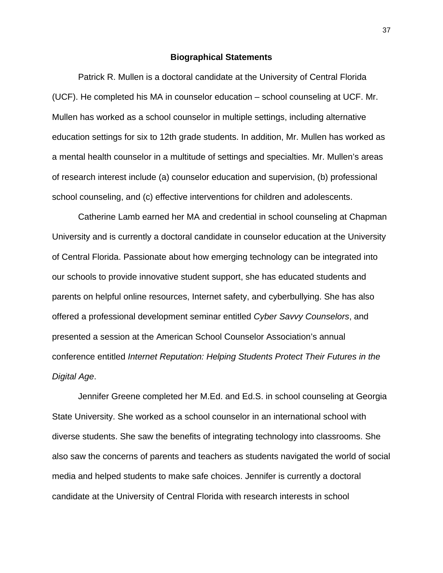#### **Biographical Statements**

Patrick R. Mullen is a doctoral candidate at the University of Central Florida (UCF). He completed his MA in counselor education – school counseling at UCF. Mr. Mullen has worked as a school counselor in multiple settings, including alternative education settings for six to 12th grade students. In addition, Mr. Mullen has worked as a mental health counselor in a multitude of settings and specialties. Mr. Mullen's areas of research interest include (a) counselor education and supervision, (b) professional school counseling, and (c) effective interventions for children and adolescents.

Catherine Lamb earned her MA and credential in school counseling at Chapman University and is currently a doctoral candidate in counselor education at the University of Central Florida. Passionate about how emerging technology can be integrated into our schools to provide innovative student support, she has educated students and parents on helpful online resources, Internet safety, and cyberbullying. She has also offered a professional development seminar entitled *Cyber Savvy Counselors*, and presented a session at the American School Counselor Association's annual conference entitled *Internet Reputation: Helping Students Protect Their Futures in the Digital Age*.

Jennifer Greene completed her M.Ed. and Ed.S. in school counseling at Georgia State University. She worked as a school counselor in an international school with diverse students. She saw the benefits of integrating technology into classrooms. She also saw the concerns of parents and teachers as students navigated the world of social media and helped students to make safe choices. Jennifer is currently a doctoral candidate at the University of Central Florida with research interests in school

37